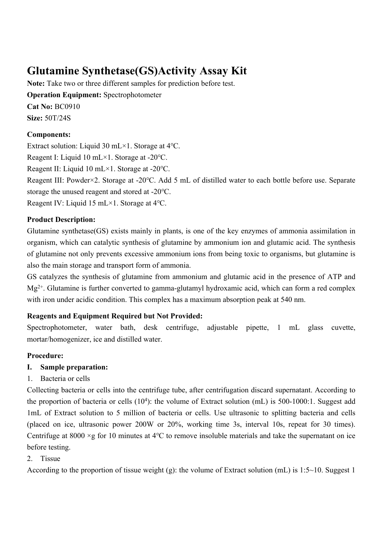# **Glutamine Synthetase(GS)Activity Assay Kit**

**Note:** Take two or three different samples for prediction before test. **Operation Equipment:** Spectrophotometer **Cat No:** BC0910 **Size:** 50T/24S

## **Components:**

Extract solution: Liquid 30 mL×1. Storage at 4℃.

Reagent I: Liquid 10 mL×1. Storage at -20℃.

Reagent II: Liquid 10 mL×1. Storage at -20℃.

Reagent III: Powder×2. Storage at -20℃. Add 5 mL of distilled water to each bottle before use. Separate storage the unused reagent and stored at -20℃.

Reagent IV: Liquid 15 mL×1. Storage at 4℃.

## **Product Description:**

Glutamine synthetase(GS) exists mainly in plants, is one of the key enzymes of ammonia assimilation in organism, which can catalytic synthesis of glutamine by ammonium ion and glutamic acid. The synthesis of glutamine not only prevents excessive ammonium ions from being toxic to organisms, but glutamine is also the main storage and transport form of ammonia.

GS catalyzes the synthesis of glutamine from ammonium and glutamic acid in the presence of ATP and  $Mg^{2+}$ . Glutamine is further converted to gamma-glutamyl hydroxamic acid, which can form a red complex with iron under acidic condition. This complex has a maximum absorption peak at 540 nm.

## **Reagents and Equipment Required but Not Provided:**

Spectrophotometer, water bath, desk centrifuge, adjustable pipette, 1 mL glass cuvette, mortar/homogenizer, ice and distilled water.

## **Procedure:**

## **I. Sample preparation:**

1. Bacteria or cells

Collecting bacteria or cells into the centrifuge tube, after centrifugation discard supernatant. According to the proportion of bacteria or cells (10<sup>4</sup>): the volume of Extract solution (mL) is 500-1000:1. Suggest add 1mL of Extract solution to 5 million of bacteria or cells. Use ultrasonic to splitting bacteria and cells (placed on ice, ultrasonic power 200W or 20%, working time 3s, interval 10s, repeat for 30 times). Centrifuge at 8000 ×g for 10 minutes at 4℃ to remove insoluble materials and take the supernatant on ice before testing.

## 2. Tissue

According to the proportion of tissue weight (g): the volume of Extract solution (mL) is 1:5~10. Suggest 1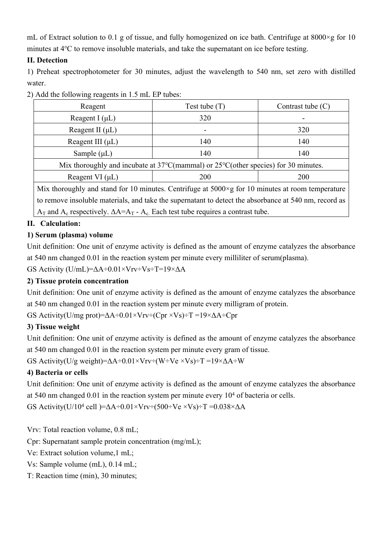mL of Extract solution to 0.1 g of tissue, and fully homogenized on ice bath. Centrifuge at 8000×g for 10 minutes at 4℃ to remove insoluble materials, and take the supernatant on ice before testing.

## **II. Detection**

1) Preheat spectrophotometer for 30 minutes, adjust the wavelength to 540 nm, set zero with distilled water.

| Reagent                                                                                                   | Test tube $(T)$ | Contrast tube $(C)$ |
|-----------------------------------------------------------------------------------------------------------|-----------------|---------------------|
| Reagent I $(\mu L)$                                                                                       | 320             |                     |
| Reagent II $(\mu L)$                                                                                      |                 | 320                 |
| Reagent III $(\mu L)$                                                                                     | 140             | 140                 |
| Sample $(\mu L)$                                                                                          | 140             | 140                 |
| Mix thoroughly and incubate at $37^{\circ}$ C(mammal) or $25^{\circ}$ C(other species) for 30 minutes.    |                 |                     |
| Reagent VI $(\mu L)$                                                                                      | <b>200</b>      | 200                 |
| Mix thoroughly and stand for 10 minutes. Centrifuge at $5000 \times g$ for 10 minutes at room temperature |                 |                     |
| to remove insoluble materials, and take the supernatant to detect the absorbance at 540 nm, record as     |                 |                     |
| $A_T$ and $A_c$ respectively. $\Delta A = A_T - A_c$ . Each test tube requires a contrast tube.           |                 |                     |

2) Add the following reagents in 1.5 mL EP tubes:

## **II. Calculation:**

## **1) Serum (plasma) volume**

Unit definition: One unit of enzyme activity is defined as the amount of enzyme catalyzes the absorbance at 540 nm changed 0.01 in the reaction system per minute every milliliter of serum(plasma).

GS Activity (U/mL)= $\Delta A \div 0.01 \times V$ rv $\div V$ s $\div T$ =19× $\Delta A$ 

## **2) Tissue protein concentration**

Unit definition: One unit of enzyme activity is defined as the amount of enzyme catalyzes the absorbance at 540 nm changed 0.01 in the reaction system per minute every milligram of protein.

GS Activity(U/mg prot)=ΔA÷0.01×Vrv÷(Cpr ×Vs)÷T =19×ΔA÷Cpr

## **3) Tissue weight**

Unit definition: One unit of enzyme activity is defined as the amount of enzyme catalyzes the absorbance at 540 nm changed 0.01 in the reaction system per minute every gram of tissue.

GS Activity(U/g weight)= $\Delta A \div 0.01 \times V_T v \div (W \div V_e \times V_s) \div T = 19 \times \Delta A \div W$ 

## **4) Bacteria or cells**

Unit definition: One unit of enzyme activity is defined as the amount of enzyme catalyzes the absorbance at 540 nm changed  $0.01$  in the reaction system per minute every  $10<sup>4</sup>$  of bacteria or cells.

GS Activity(U/10<sup>4</sup> cell )= $\Delta A \div 0.01 \times V$ rv $\div (500 \div Ve \times Vs) \div T = 0.038 \times \Delta A$ 

Vrv: Total reaction volume, 0.8 mL;

Cpr: Supernatant sample protein concentration (mg/mL);

Ve: Extract solution volume,1 mL;

Vs: Sample volume (mL), 0.14 mL;

T: Reaction time (min), 30 minutes;